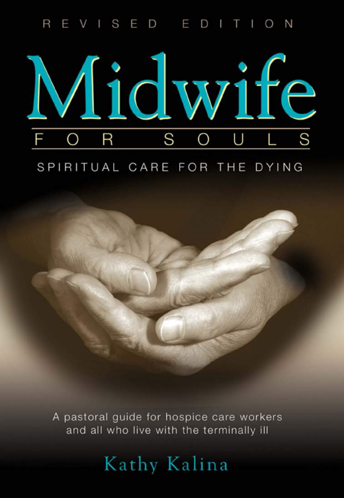#### VISED EDITION  $\overline{R}$



### SPIRITUAL CARE FOR THE DYING



A pastoral quide for hospice care workers and all who live with the terminally ill

# Kathy Kalina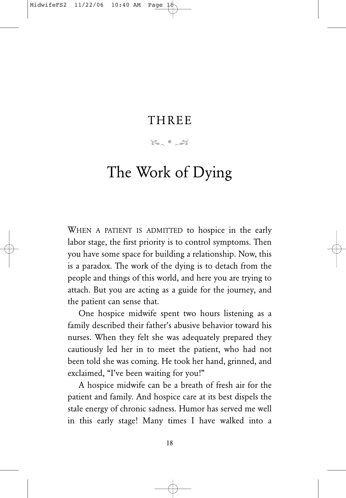### **THREE**

 $\kappa$   $\sim$   $\alpha$ 

# The Work of Dying

WHEN A PATIENT IS ADMITTED to hospice in the early labor stage, the first priority is to control symptoms. Then you have some space for building a relationship. Now, this is a paradox. The work of the dying is to detach from the people and things of this world, and here you are trying to attach. But you are acting as a guide for the journey, and the patient can sense that.

One hospice midwife spent two hours listening as a family described their father's abusive behavior toward his nurses. When they felt she was adequately prepared they cautiously led her in to meet the patient, who had not been told she was coming. He took her hand, grinned, and exclaimed, "I've been waiting for you!"

A hospice midwife can be a breath of fresh air for the patient and family. And hospice care at its best dispels the stale energy of chronic sadness. Humor has served me well in this early stage! Many times I have walked into a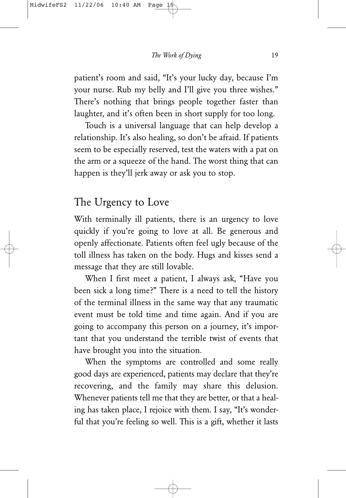patient's room and said, "It's your lucky day, because I'm your nurse. Rub my belly and I'll give you three wishes." There's nothing that brings people together faster than laughter, and it's often been in short supply for too long.

Touch is a universal language that can help develop a relationship. It's also healing, so don't be afraid. If patients seem to be especially reserved, test the waters with a pat on the arm or a squeeze of the hand. The worst thing that can happen is they'll jerk away or ask you to stop.

#### The Urgency to Love

With terminally ill patients, there is an urgency to love quickly if you're going to love at all. Be generous and openly affectionate. Patients often feel ugly because of the toll illness has taken on the body. Hugs and kisses send a message that they are still lovable.

When I first meet a patient, I always ask, "Have you been sick a long time?" There is a need to tell the history of the terminal illness in the same way that any traumatic event must be told time and time again. And if you are going to accompany this person on a journey, it's important that you understand the terrible twist of events that have brought you into the situation.

When the symptoms are controlled and some really good days are experienced, patients may declare that they're recovering, and the family may share this delusion. Whenever patients tell me that they are better, or that a healing has taken place, I rejoice with them. I say, "It's wonderful that you're feeling so well. This is a gift, whether it lasts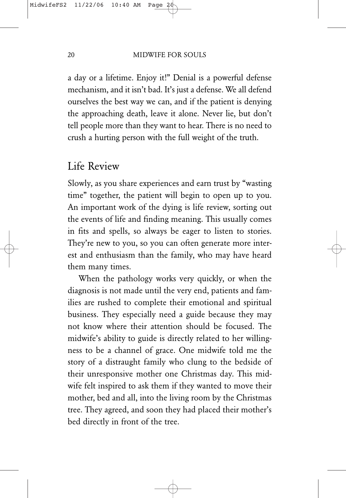a day or a lifetime. Enjoy it!" Denial is a powerful defense mechanism, and it isn't bad. It's just a defense. We all defend ourselves the best way we can, and if the patient is denying the approaching death, leave it alone. Never lie, but don't tell people more than they want to hear. There is no need to crush a hurting person with the full weight of the truth.

### Life Review

Slowly, as you share experiences and earn trust by "wasting time" together, the patient will begin to open up to you. An important work of the dying is life review, sorting out the events of life and finding meaning. This usually comes in fits and spells, so always be eager to listen to stories. They're new to you, so you can often generate more interest and enthusiasm than the family, who may have heard them many times.

When the pathology works very quickly, or when the diagnosis is not made until the very end, patients and families are rushed to complete their emotional and spiritual business. They especially need a guide because they may not know where their attention should be focused. The midwife's ability to guide is directly related to her willingness to be a channel of grace. One midwife told me the story of a distraught family who clung to the bedside of their unresponsive mother one Christmas day. This midwife felt inspired to ask them if they wanted to move their mother, bed and all, into the living room by the Christmas tree. They agreed, and soon they had placed their mother's bed directly in front of the tree.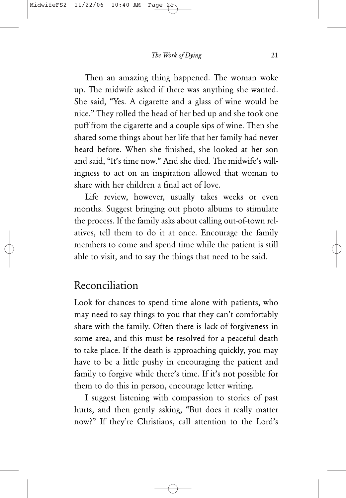Then an amazing thing happened. The woman woke up. The midwife asked if there was anything she wanted. She said, "Yes. A cigarette and a glass of wine would be nice." They rolled the head of her bed up and she took one puff from the cigarette and a couple sips of wine. Then she shared some things about her life that her family had never heard before. When she finished, she looked at her son and said, "It's time now." And she died. The midwife's willingness to act on an inspiration allowed that woman to share with her children a final act of love.

Life review, however, usually takes weeks or even months. Suggest bringing out photo albums to stimulate the process. If the family asks about calling out-of-town relatives, tell them to do it at once. Encourage the family members to come and spend time while the patient is still able to visit, and to say the things that need to be said.

### Reconciliation

Look for chances to spend time alone with patients, who may need to say things to you that they can't comfortably share with the family. Often there is lack of forgiveness in some area, and this must be resolved for a peaceful death to take place. If the death is approaching quickly, you may have to be a little pushy in encouraging the patient and family to forgive while there's time. If it's not possible for them to do this in person, encourage letter writing.

I suggest listening with compassion to stories of past hurts, and then gently asking, "But does it really matter now?" If they're Christians, call attention to the Lord's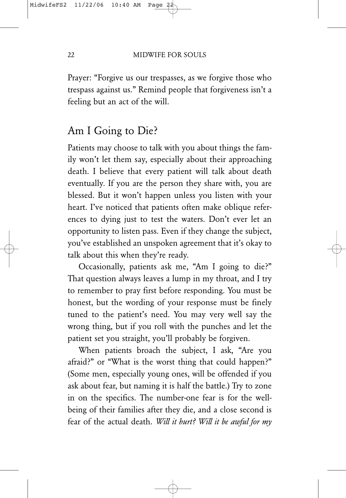Prayer: "Forgive us our trespasses, as we forgive those who trespass against us." Remind people that forgiveness isn't a feeling but an act of the will.

#### Am I Going to Die?

Patients may choose to talk with you about things the family won't let them say, especially about their approaching death. I believe that every patient will talk about death eventually. If you are the person they share with, you are blessed. But it won't happen unless you listen with your heart. I've noticed that patients often make oblique references to dying just to test the waters. Don't ever let an opportunity to listen pass. Even if they change the subject, you've established an unspoken agreement that it's okay to talk about this when they're ready.

Occasionally, patients ask me, "Am I going to die?" That question always leaves a lump in my throat, and I try to remember to pray first before responding. You must be honest, but the wording of your response must be finely tuned to the patient's need. You may very well say the wrong thing, but if you roll with the punches and let the patient set you straight, you'll probably be forgiven.

When patients broach the subject, I ask, "Are you afraid?" or "What is the worst thing that could happen?" (Some men, especially young ones, will be offended if you ask about fear, but naming it is half the battle.) Try to zone in on the specifics. The number-one fear is for the wellbeing of their families after they die, and a close second is fear of the actual death. *Will it hurt? Will it be awful for my*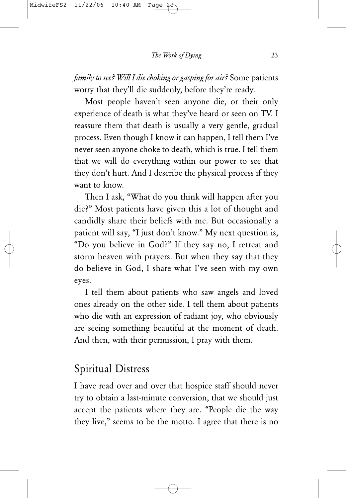*family to see? Will I die choking or gasping for air?* Some patients worry that they'll die suddenly, before they're ready.

Most people haven't seen anyone die, or their only experience of death is what they've heard or seen on TV. I reassure them that death is usually a very gentle, gradual process. Even though I know it can happen, I tell them I've never seen anyone choke to death, which is true. I tell them that we will do everything within our power to see that they don't hurt. And I describe the physical process if they want to know.

Then I ask, "What do you think will happen after you die?" Most patients have given this a lot of thought and candidly share their beliefs with me. But occasionally a patient will say, "I just don't know." My next question is, "Do you believe in God?" If they say no, I retreat and storm heaven with prayers. But when they say that they do believe in God, I share what I've seen with my own eyes.

I tell them about patients who saw angels and loved ones already on the other side. I tell them about patients who die with an expression of radiant joy, who obviously are seeing something beautiful at the moment of death. And then, with their permission, I pray with them.

## Spiritual Distress

I have read over and over that hospice staff should never try to obtain a last-minute conversion, that we should just accept the patients where they are. "People die the way they live," seems to be the motto. I agree that there is no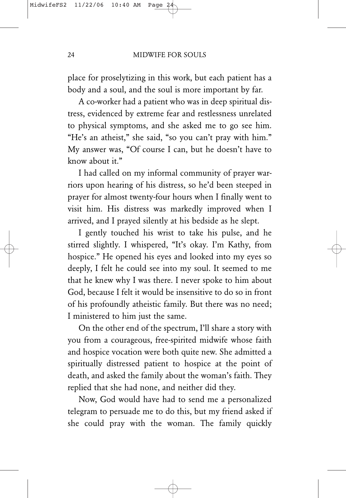place for proselytizing in this work, but each patient has a body and a soul, and the soul is more important by far.

A co-worker had a patient who was in deep spiritual distress, evidenced by extreme fear and restlessness unrelated to physical symptoms, and she asked me to go see him. "He's an atheist," she said, "so you can't pray with him." My answer was, "Of course I can, but he doesn't have to know about it."

I had called on my informal community of prayer warriors upon hearing of his distress, so he'd been steeped in prayer for almost twenty-four hours when I finally went to visit him. His distress was markedly improved when I arrived, and I prayed silently at his bedside as he slept.

I gently touched his wrist to take his pulse, and he stirred slightly. I whispered, "It's okay. I'm Kathy, from hospice." He opened his eyes and looked into my eyes so deeply, I felt he could see into my soul. It seemed to me that he knew why I was there. I never spoke to him about God, because I felt it would be insensitive to do so in front of his profoundly atheistic family. But there was no need; I ministered to him just the same.

On the other end of the spectrum, I'll share a story with you from a courageous, free-spirited midwife whose faith and hospice vocation were both quite new. She admitted a spiritually distressed patient to hospice at the point of death, and asked the family about the woman's faith. They replied that she had none, and neither did they.

Now, God would have had to send me a personalized telegram to persuade me to do this, but my friend asked if she could pray with the woman. The family quickly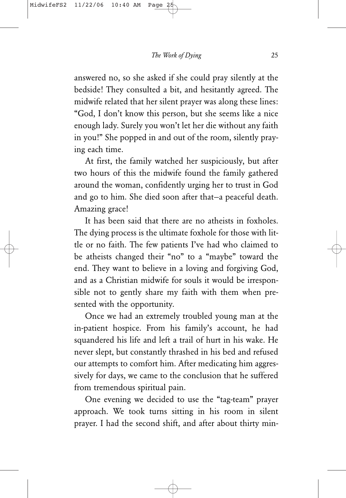answered no, so she asked if she could pray silently at the bedside! They consulted a bit, and hesitantly agreed. The midwife related that her silent prayer was along these lines: "God, I don't know this person, but she seems like a nice enough lady. Surely you won't let her die without any faith in you!" She popped in and out of the room, silently praying each time.

At first, the family watched her suspiciously, but after two hours of this the midwife found the family gathered around the woman, confidently urging her to trust in God and go to him. She died soon after that—a peaceful death. Amazing grace!

It has been said that there are no atheists in foxholes. The dying process is the ultimate foxhole for those with little or no faith. The few patients I've had who claimed to be atheists changed their "no" to a "maybe" toward the end. They want to believe in a loving and forgiving God, and as a Christian midwife for souls it would be irresponsible not to gently share my faith with them when presented with the opportunity.

Once we had an extremely troubled young man at the in-patient hospice. From his family's account, he had squandered his life and left a trail of hurt in his wake. He never slept, but constantly thrashed in his bed and refused our attempts to comfort him. After medicating him aggressively for days, we came to the conclusion that he suffered from tremendous spiritual pain.

One evening we decided to use the "tag-team" prayer approach. We took turns sitting in his room in silent prayer. I had the second shift, and after about thirty min